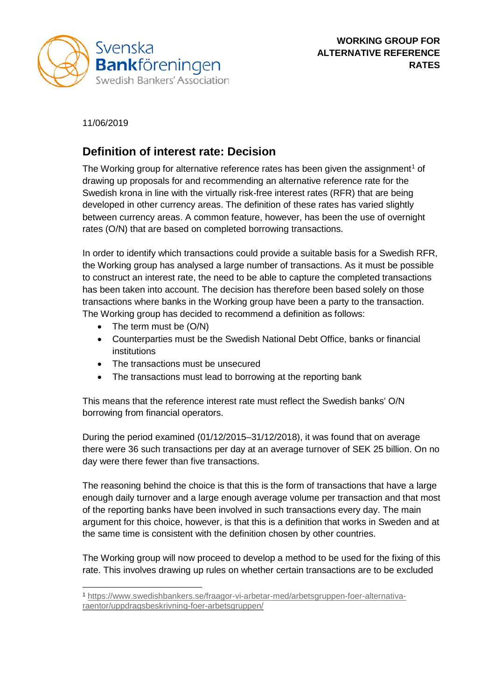

11/06/2019

## **Definition of interest rate: Decision**

The Working group for alternative reference rates has been given the assignment<sup>[1](#page-0-0)</sup> of drawing up proposals for and recommending an alternative reference rate for the Swedish krona in line with the virtually risk-free interest rates (RFR) that are being developed in other currency areas. The definition of these rates has varied slightly between currency areas. A common feature, however, has been the use of overnight rates (O/N) that are based on completed borrowing transactions.

In order to identify which transactions could provide a suitable basis for a Swedish RFR, the Working group has analysed a large number of transactions. As it must be possible to construct an interest rate, the need to be able to capture the completed transactions has been taken into account. The decision has therefore been based solely on those transactions where banks in the Working group have been a party to the transaction. The Working group has decided to recommend a definition as follows:

- The term must be (O/N)
- Counterparties must be the Swedish National Debt Office, banks or financial institutions
- The transactions must be unsecured
- The transactions must lead to borrowing at the reporting bank

This means that the reference interest rate must reflect the Swedish banks' O/N borrowing from financial operators.

During the period examined (01/12/2015–31/12/2018), it was found that on average there were 36 such transactions per day at an average turnover of SEK 25 billion. On no day were there fewer than five transactions.

The reasoning behind the choice is that this is the form of transactions that have a large enough daily turnover and a large enough average volume per transaction and that most of the reporting banks have been involved in such transactions every day. The main argument for this choice, however, is that this is a definition that works in Sweden and at the same time is consistent with the definition chosen by other countries.

The Working group will now proceed to develop a method to be used for the fixing of this rate. This involves drawing up rules on whether certain transactions are to be excluded

<span id="page-0-0"></span> <sup>1</sup> [https://www.swedishbankers.se/fraagor-vi-arbetar-med/arbetsgruppen-foer-alternativa](https://www.swedishbankers.se/fraagor-vi-arbetar-med/arbetsgruppen-foer-alternativa-raentor/uppdragsbeskrivning-foer-arbetsgruppen/)[raentor/uppdragsbeskrivning-foer-arbetsgruppen/](https://www.swedishbankers.se/fraagor-vi-arbetar-med/arbetsgruppen-foer-alternativa-raentor/uppdragsbeskrivning-foer-arbetsgruppen/)